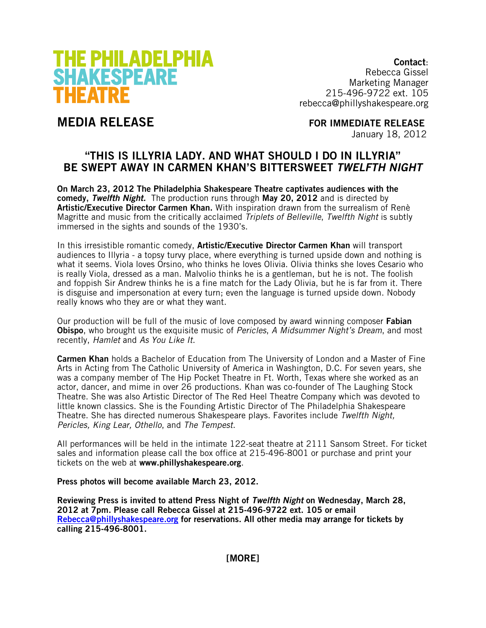

 **Contact**: Rebecca Gissel Marketing Manager 215-496-9722 ext. 105 rebecca@phillyshakespeare.org

**MEDIA RELEASE** FOR IMMEDIATE RELEASE January 18, 2012

## **"THIS IS ILLYRIA LADY. AND WHAT SHOULD I DO IN ILLYRIA" BE SWEPT AWAY IN CARMEN KHAN'S BITTERSWEET** *TWELFTH NIGHT*

**On March 23, 2012 The Philadelphia Shakespeare Theatre captivates audiences with the comedy,** *Twelfth Night.* The production runs through **May 20, 2012** and is directed by **Artistic/Executive Director Carmen Khan.** With inspiration drawn from the surrealism of Renè Magritte and music from the critically acclaimed *Triplets of Belleville*, *Twelfth Night* is subtly immersed in the sights and sounds of the 1930's.

In this irresistible romantic comedy, **Artistic/Executive Director Carmen Khan** will transport audiences to Illyria - a topsy turvy place, where everything is turned upside down and nothing is what it seems. Viola loves Orsino, who thinks he loves Olivia. Olivia thinks she loves Cesario who is really Viola, dressed as a man. Malvolio thinks he is a gentleman, but he is not. The foolish and foppish Sir Andrew thinks he is a fine match for the Lady Olivia, but he is far from it. There is disguise and impersonation at every turn; even the language is turned upside down. Nobody really knows who they are or what they want.

Our production will be full of the music of love composed by award winning composer **Fabian Obispo**, who brought us the exquisite music of *Pericles*, *A Midsummer Night's Dream*, and most recently, *Hamlet* and *As You Like It*.

**Carmen Khan** holds a Bachelor of Education from The University of London and a Master of Fine Arts in Acting from The Catholic University of America in Washington, D.C. For seven years, she was a company member of The Hip Pocket Theatre in Ft. Worth, Texas where she worked as an actor, dancer, and mime in over 26 productions. Khan was co-founder of The Laughing Stock Theatre. She was also Artistic Director of The Red Heel Theatre Company which was devoted to little known classics. She is the Founding Artistic Director of The Philadelphia Shakespeare Theatre. She has directed numerous Shakespeare plays. Favorites include *Twelfth Night, Pericles, King Lear, Othello*, and *The Tempest*.

All performances will be held in the intimate 122-seat theatre at 2111 Sansom Street. For ticket sales and information please call the box office at 215-496-8001 or purchase and print your tickets on the web at **www.phillyshakespeare.org**.

**Press photos will become available March 23, 2012.**

**Reviewing Press is invited to attend Press Night of** *Twelfth Night* **on Wednesday, March 28, 2012 at 7pm. Please call Rebecca Gissel at 215-496-9722 ext. 105 or email Rebecca@phillyshakespeare.org for reservations. All other media may arrange for tickets by calling 215-496-8001.**

**[MORE]**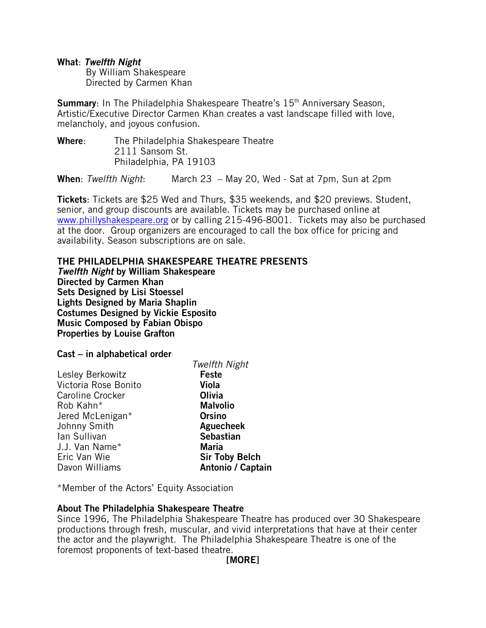**What**: *Twelfth Night*

By William Shakespeare Directed by Carmen Khan

**Summary:** In The Philadelphia Shakespeare Theatre's 15<sup>th</sup> Anniversary Season, Artistic/Executive Director Carmen Khan creates a vast landscape filled with love, melancholy, and joyous confusion.

**Where**: The Philadelphia Shakespeare Theatre 2111 Sansom St. Philadelphia, PA 19103

**When**: *Twelfth Night*: March 23 – May 20, Wed - Sat at 7pm, Sun at 2pm

**Tickets**: Tickets are \$25 Wed and Thurs, \$35 weekends, and \$20 previews. Student, senior, and group discounts are available. Tickets may be purchased online at www.phillyshakespeare.org or by calling 215-496-8001. Tickets may also be purchased at the door. Group organizers are encouraged to call the box office for pricing and availability. Season subscriptions are on sale.

**THE PHILADELPHIA SHAKESPEARE THEATRE PRESENTS** 

*Twelfth Night* **by William Shakespeare Directed by Carmen Khan Sets Designed by Lisi Stoessel Lights Designed by Maria Shaplin Costumes Designed by Vickie Esposito Music Composed by Fabian Obispo Properties by Louise Grafton**

## **Cast – in alphabetical order**

| $\alpha$ ast $\alpha$ in alphabetical bidel |                       |
|---------------------------------------------|-----------------------|
|                                             | <b>Twelfth Night</b>  |
| Lesley Berkowitz                            | <b>Feste</b>          |
| Victoria Rose Bonito                        | Viola                 |
| Caroline Crocker                            | <b>Olivia</b>         |
| Rob Kahn*                                   | <b>Malvolio</b>       |
| Jered McLenigan*                            | Orsino                |
| Johnny Smith                                | <b>Aguecheek</b>      |
| Ian Sullivan                                | <b>Sebastian</b>      |
| J.J. Van Name*                              | <b>Maria</b>          |
| Eric Van Wie                                | <b>Sir Toby Belch</b> |
| Davon Williams                              | Antonio / Captain     |
|                                             |                       |

\*Member of the Actors' Equity Association

## **About The Philadelphia Shakespeare Theatre**

Since 1996, The Philadelphia Shakespeare Theatre has produced over 30 Shakespeare productions through fresh, muscular, and vivid interpretations that have at their center the actor and the playwright. The Philadelphia Shakespeare Theatre is one of the foremost proponents of text-based theatre.